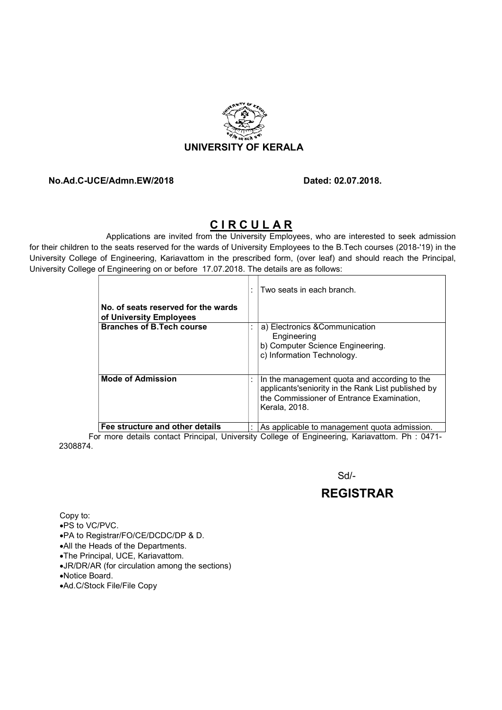

#### No.Ad.C-UCE/Admn.EW/2018 Dated: 02.07.2018.

### CIRCULAR

Applications are invited from the University Employees, who are interested to seek admission for their children to the seats reserved for the wards of University Employees to the B.Tech courses (2018-'19) in the University College of Engineering, Kariavattom in the prescribed form, (over leaf) and should reach the Principal, University College of Engineering on or before 17.07.2018. The details are as follows:

|                                                                | Two seats in each branch.                                                                                                                                        |
|----------------------------------------------------------------|------------------------------------------------------------------------------------------------------------------------------------------------------------------|
| No. of seats reserved for the wards<br>of University Employees |                                                                                                                                                                  |
| <b>Branches of B.Tech course</b>                               | a) Electronics & Communication<br>Engineering<br>b) Computer Science Engineering.<br>c) Information Technology.                                                  |
| <b>Mode of Admission</b>                                       | In the management quota and according to the<br>applicants'seniority in the Rank List published by<br>the Commissioner of Entrance Examination,<br>Kerala, 2018. |
| Fee structure and other details                                | As applicable to management quota admission.                                                                                                                     |

For more details contact Principal, University College of Engineering, Kariavattom. Ph : 0471- 2308874.

 $S$ d/- $S$ d/- $S$ d/- $S$ d/- $S$ d/- $S$ d/- $S$ d/- $S$ d/- $S$ d/- $S$ d/- $S$ d/- $S$ d/- $S$ d/- $S$ d/- $S$ d/- $S$ d/- $S$ d/- $S$ d/- $S$ d/- $S$ d/- $S$ d/- $S$ d/- $S$ d/- $S$ d/- $S$ d/- $S$ d/- $S$ d/- $S$ d/- $S$ d/- $S$ d/- $S$ d/- $S$ d/- $S$ d/- $S$ d/- $S$ d/- $S$ d/- $S$ d/

## REGISTRAR

Copy to: PS to VC/PVC. PA to Registrar/FO/CE/DCDC/DP & D. All the Heads of the Departments. The Principal, UCE, Kariavattom.

- JR/DR/AR (for circulation among the sections)
- Notice Board.
- Ad.C/Stock File/File Copy